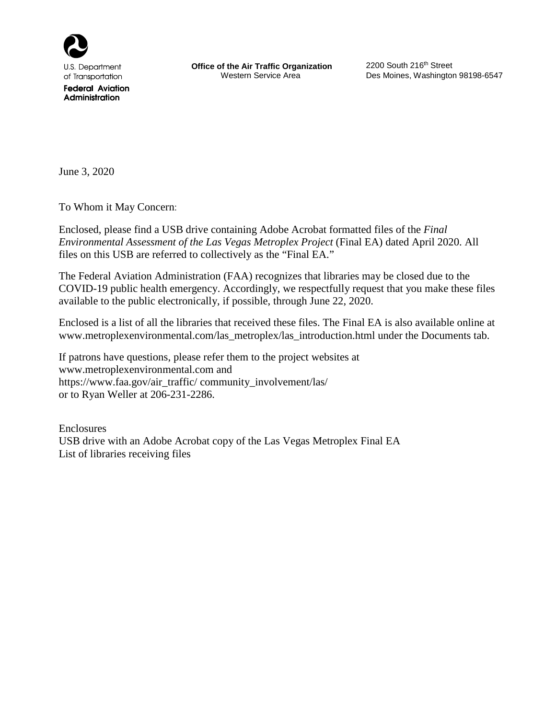

**Federal Aviation** Administration

**Office of the Air Traffic Organization** 2200 South 216<sup>th</sup> Street<br>Western Service Area **Des Moines, Washingtor** 

Des Moines, Washington 98198-6547

June 3, 2020

To Whom it May Concern:

Enclosed, please find a USB drive containing Adobe Acrobat formatted files of the *Final Environmental Assessment of the Las Vegas Metroplex Project* (Final EA) dated April 2020. All files on this USB are referred to collectively as the "Final EA."

The Federal Aviation Administration (FAA) recognizes that libraries may be closed due to the COVID-19 public health emergency. Accordingly, we respectfully request that you make these files available to the public electronically, if possible, through June 22, 2020.

Enclosed is a list of all the libraries that received these files. The Final EA is also available online at www.metroplexenvironmental.com/las\_metroplex/las\_introduction.html under the Documents tab.

If patrons have questions, please refer them to the project websites at [www.metroplexenvironmental.com](http://www.metroplexenvironmental.com/) and https://www.faa.gov/air\_traffic/ community\_involvement/las/ or to Ryan Weller at 206-231-2286.

Enclosures USB drive with an Adobe Acrobat copy of the Las Vegas Metroplex Final EA List of libraries receiving files